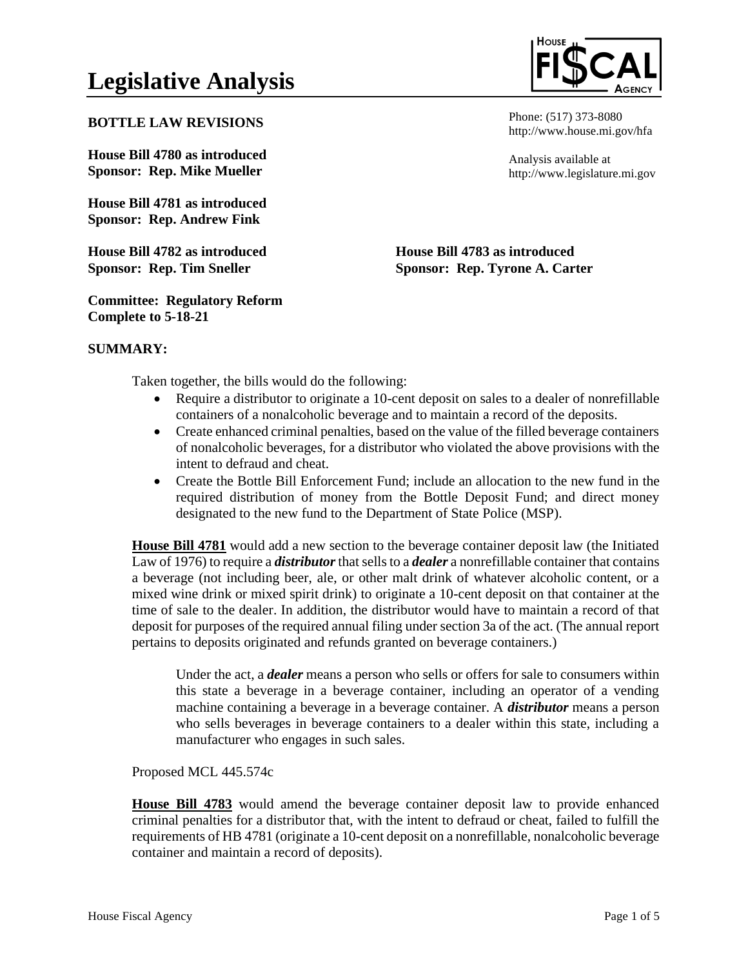# **Legislative Analysis**

### **BOTTLE LAW REVISIONS**

**House Bill 4780 as introduced Sponsor: Rep. Mike Mueller** 

**House Bill 4781 as introduced Sponsor: Rep. Andrew Fink**

**House Bill 4782 as introduced Sponsor: Rep. Tim Sneller**

Phone: (517) 373-8080 http://www.house.mi.gov/hfa

Analysis available at http://www.legislature.mi.gov

**House Bill 4783 as introduced Sponsor: Rep. Tyrone A. Carter**

**Committee: Regulatory Reform Complete to 5-18-21**

## **SUMMARY:**

Taken together, the bills would do the following:

- Require a distributor to originate a 10-cent deposit on sales to a dealer of nonrefillable containers of a nonalcoholic beverage and to maintain a record of the deposits.
- Create enhanced criminal penalties, based on the value of the filled beverage containers of nonalcoholic beverages, for a distributor who violated the above provisions with the intent to defraud and cheat.
- Create the Bottle Bill Enforcement Fund; include an allocation to the new fund in the required distribution of money from the Bottle Deposit Fund; and direct money designated to the new fund to the Department of State Police (MSP).

**House Bill 4781** would add a new section to the beverage container deposit law (the Initiated Law of 1976) to require a *distributor*that sells to a *dealer* a nonrefillable container that contains a beverage (not including beer, ale, or other malt drink of whatever alcoholic content, or a mixed wine drink or mixed spirit drink) to originate a 10-cent deposit on that container at the time of sale to the dealer. In addition, the distributor would have to maintain a record of that deposit for purposes of the required annual filing under section 3a of the act. (The annual report pertains to deposits originated and refunds granted on beverage containers.)

Under the act, a *dealer* means a person who sells or offers for sale to consumers within this state a beverage in a beverage container, including an operator of a vending machine containing a beverage in a beverage container. A *distributor* means a person who sells beverages in beverage containers to a dealer within this state, including a manufacturer who engages in such sales.

Proposed MCL 445.574c

**House Bill 4783** would amend the beverage container deposit law to provide enhanced criminal penalties for a distributor that, with the intent to defraud or cheat, failed to fulfill the requirements of HB 4781 (originate a 10-cent deposit on a nonrefillable, nonalcoholic beverage container and maintain a record of deposits).

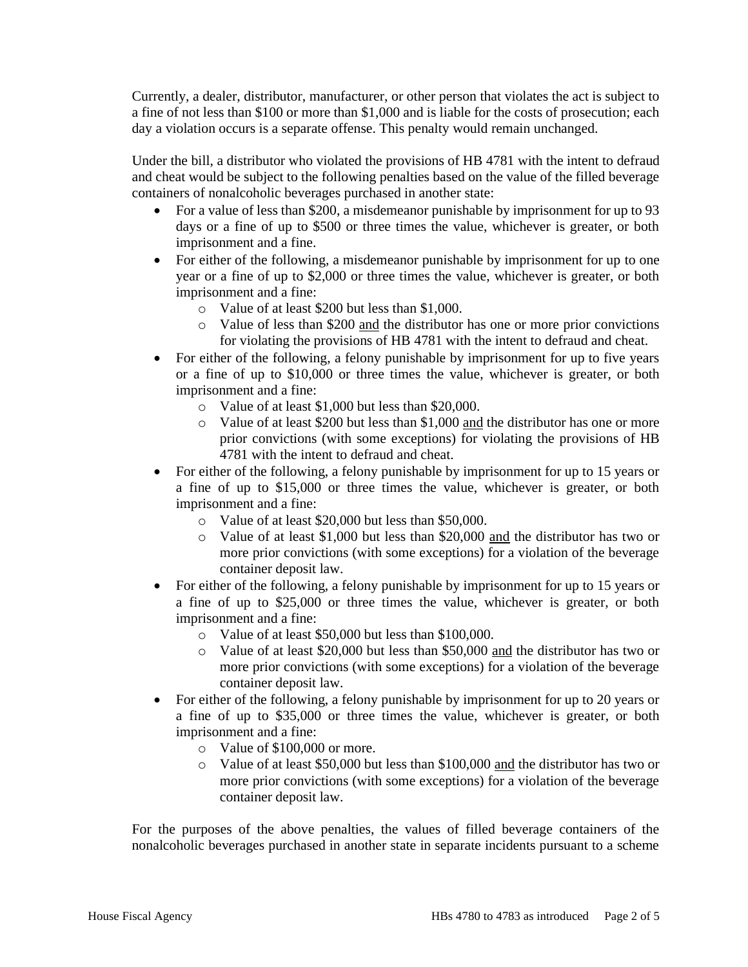Currently, a dealer, distributor, manufacturer, or other person that violates the act is subject to a fine of not less than \$100 or more than \$1,000 and is liable for the costs of prosecution; each day a violation occurs is a separate offense. This penalty would remain unchanged.

Under the bill, a distributor who violated the provisions of HB 4781 with the intent to defraud and cheat would be subject to the following penalties based on the value of the filled beverage containers of nonalcoholic beverages purchased in another state:

- For a value of less than \$200, a misdemeanor punishable by imprisonment for up to 93 days or a fine of up to \$500 or three times the value, whichever is greater, or both imprisonment and a fine.
- For either of the following, a misdemeanor punishable by imprisonment for up to one year or a fine of up to \$2,000 or three times the value, whichever is greater, or both imprisonment and a fine:
	- o Value of at least \$200 but less than \$1,000.
	- o Value of less than \$200 and the distributor has one or more prior convictions for violating the provisions of HB 4781 with the intent to defraud and cheat.
- For either of the following, a felony punishable by imprisonment for up to five years or a fine of up to \$10,000 or three times the value, whichever is greater, or both imprisonment and a fine:
	- o Value of at least \$1,000 but less than \$20,000.
	- o Value of at least \$200 but less than \$1,000 and the distributor has one or more prior convictions (with some exceptions) for violating the provisions of HB 4781 with the intent to defraud and cheat.
- For either of the following, a felony punishable by imprisonment for up to 15 years or a fine of up to \$15,000 or three times the value, whichever is greater, or both imprisonment and a fine:
	- o Value of at least \$20,000 but less than \$50,000.
	- o Value of at least \$1,000 but less than \$20,000 and the distributor has two or more prior convictions (with some exceptions) for a violation of the beverage container deposit law.
- For either of the following, a felony punishable by imprisonment for up to 15 years or a fine of up to \$25,000 or three times the value, whichever is greater, or both imprisonment and a fine:
	- o Value of at least \$50,000 but less than \$100,000.
	- o Value of at least \$20,000 but less than \$50,000 and the distributor has two or more prior convictions (with some exceptions) for a violation of the beverage container deposit law.
- For either of the following, a felony punishable by imprisonment for up to 20 years or a fine of up to \$35,000 or three times the value, whichever is greater, or both imprisonment and a fine:
	- o Value of \$100,000 or more.
	- o Value of at least \$50,000 but less than \$100,000 and the distributor has two or more prior convictions (with some exceptions) for a violation of the beverage container deposit law.

For the purposes of the above penalties, the values of filled beverage containers of the nonalcoholic beverages purchased in another state in separate incidents pursuant to a scheme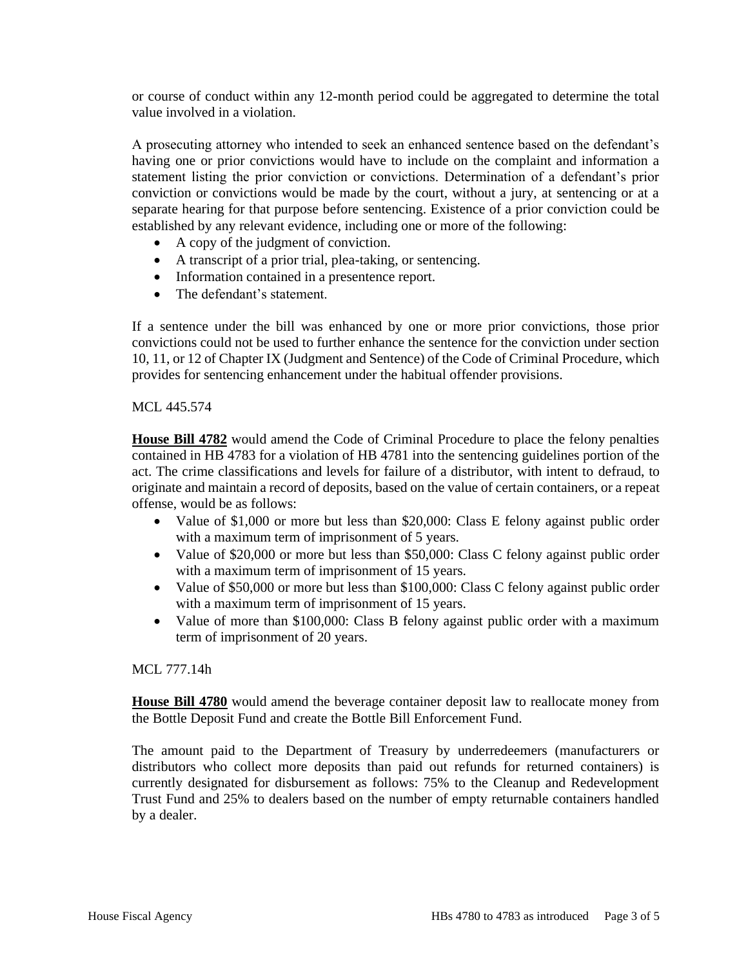or course of conduct within any 12-month period could be aggregated to determine the total value involved in a violation.

A prosecuting attorney who intended to seek an enhanced sentence based on the defendant's having one or prior convictions would have to include on the complaint and information a statement listing the prior conviction or convictions. Determination of a defendant's prior conviction or convictions would be made by the court, without a jury, at sentencing or at a separate hearing for that purpose before sentencing. Existence of a prior conviction could be established by any relevant evidence, including one or more of the following:

- A copy of the judgment of conviction.
- A transcript of a prior trial, plea-taking, or sentencing.
- Information contained in a presentence report.
- The defendant's statement.

If a sentence under the bill was enhanced by one or more prior convictions, those prior convictions could not be used to further enhance the sentence for the conviction under section 10, 11, or 12 of Chapter IX (Judgment and Sentence) of the Code of Criminal Procedure, which provides for sentencing enhancement under the habitual offender provisions.

### MCL 445.574

**House Bill 4782** would amend the Code of Criminal Procedure to place the felony penalties contained in HB 4783 for a violation of HB 4781 into the sentencing guidelines portion of the act. The crime classifications and levels for failure of a distributor, with intent to defraud, to originate and maintain a record of deposits, based on the value of certain containers, or a repeat offense, would be as follows:

- Value of \$1,000 or more but less than \$20,000: Class E felony against public order with a maximum term of imprisonment of 5 years.
- Value of \$20,000 or more but less than \$50,000: Class C felony against public order with a maximum term of imprisonment of 15 years.
- Value of \$50,000 or more but less than \$100,000: Class C felony against public order with a maximum term of imprisonment of 15 years.
- Value of more than \$100,000: Class B felony against public order with a maximum term of imprisonment of 20 years.

#### MCL 777.14h

**House Bill 4780** would amend the beverage container deposit law to reallocate money from the Bottle Deposit Fund and create the Bottle Bill Enforcement Fund.

The amount paid to the Department of Treasury by underredeemers (manufacturers or distributors who collect more deposits than paid out refunds for returned containers) is currently designated for disbursement as follows: 75% to the Cleanup and Redevelopment Trust Fund and 25% to dealers based on the number of empty returnable containers handled by a dealer.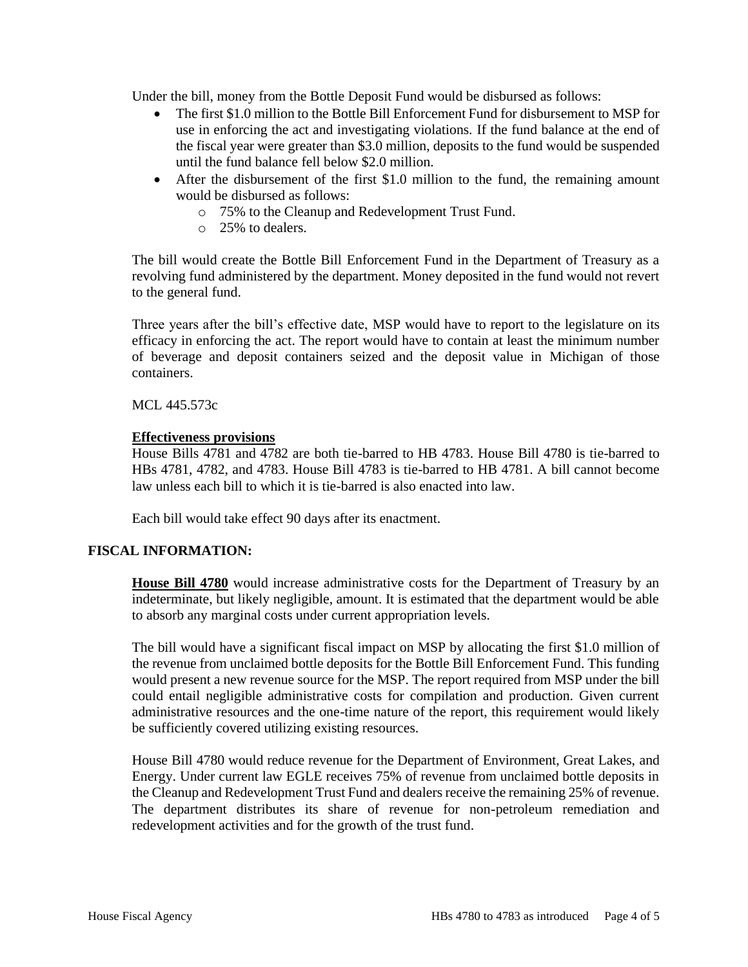Under the bill, money from the Bottle Deposit Fund would be disbursed as follows:

- The first \$1.0 million to the Bottle Bill Enforcement Fund for disbursement to MSP for use in enforcing the act and investigating violations. If the fund balance at the end of the fiscal year were greater than \$3.0 million, deposits to the fund would be suspended until the fund balance fell below \$2.0 million.
- After the disbursement of the first \$1.0 million to the fund, the remaining amount would be disbursed as follows:
	- o 75% to the Cleanup and Redevelopment Trust Fund.
	- o 25% to dealers.

The bill would create the Bottle Bill Enforcement Fund in the Department of Treasury as a revolving fund administered by the department. Money deposited in the fund would not revert to the general fund.

Three years after the bill's effective date, MSP would have to report to the legislature on its efficacy in enforcing the act. The report would have to contain at least the minimum number of beverage and deposit containers seized and the deposit value in Michigan of those containers.

MCL 445.573c

# **Effectiveness provisions**

House Bills 4781 and 4782 are both tie-barred to HB 4783. House Bill 4780 is tie-barred to HBs 4781, 4782, and 4783. House Bill 4783 is tie-barred to HB 4781. A bill cannot become law unless each bill to which it is tie-barred is also enacted into law.

Each bill would take effect 90 days after its enactment.

### **FISCAL INFORMATION:**

**House Bill 4780** would increase administrative costs for the Department of Treasury by an indeterminate, but likely negligible, amount. It is estimated that the department would be able to absorb any marginal costs under current appropriation levels.

The bill would have a significant fiscal impact on MSP by allocating the first \$1.0 million of the revenue from unclaimed bottle deposits for the Bottle Bill Enforcement Fund. This funding would present a new revenue source for the MSP. The report required from MSP under the bill could entail negligible administrative costs for compilation and production. Given current administrative resources and the one-time nature of the report, this requirement would likely be sufficiently covered utilizing existing resources.

House Bill 4780 would reduce revenue for the Department of Environment, Great Lakes, and Energy. Under current law EGLE receives 75% of revenue from unclaimed bottle deposits in the Cleanup and Redevelopment Trust Fund and dealers receive the remaining 25% of revenue. The department distributes its share of revenue for non-petroleum remediation and redevelopment activities and for the growth of the trust fund.